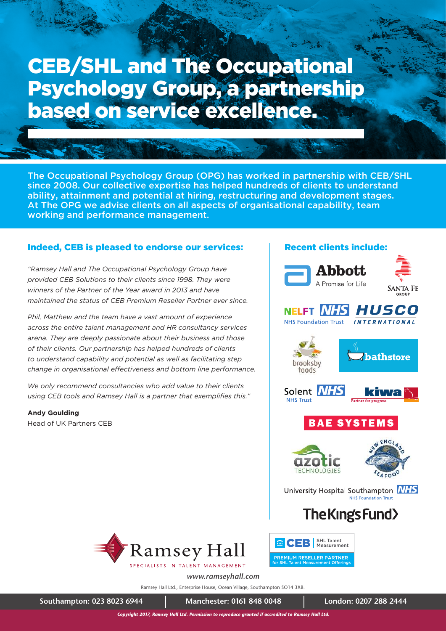# CEB/SHL and The Occupational Psychology Group, a partnership based on service excellence.

The Occupational Psychology Group (OPG) has worked in partnership with CEB/SHL since 2008. Our collective expertise has helped hundreds of clients to understand ability, attainment and potential at hiring, restructuring and development stages. At The OPG we advise clients on all aspects of organisational capability, team working and performance management.

### Indeed, CEB is pleased to endorse our services:

*"Ramsey Hall and The Occupational Psychology Group have provided CEB Solutions to their clients since 1998. They were winners of the Partner of the Year award in 2013 and have maintained the status of CEB Premium Reseller Partner ever since.*

*Phil, Matthew and the team have a vast amount of experience across the entire talent management and HR consultancy services arena. They are deeply passionate about their business and those of their clients. Our partnership has helped hundreds of clients to understand capability and potential as well as facilitating step change in organisational effectiveness and bottom line performance.*

*We only recommend consultancies who add value to their clients*  using CEB tools and Ramsey Hall is a partner that exemplifies this."

**Andy Goulding**  Head of UK Partners CEB







#### NELFT *NHS HUSCO* **NHS Foundation Trust INTERNATIONAL**











University Hospital Southampton **NHS NHS Equadation Trust** 

## The Kings Fund>



<sup>m</sup> CEB | SHL Talent PREMIUM RESELLER PARTNER

SPECIALISTS IN TALENT MANAGEMENT

*www.ramseyhall.com*

Ramsey Hall Ltd., Enterprise House, Ocean Village, Southampton SO14 3XB.

**Southampton: 023 8023 6944 Manchester: 0161 848 0048 London: 0207 288 2444**

*Copyright 2017, Ramsey Hall Ltd. Permission to reproduce granted if accredited to Ramsey Hall Ltd.*